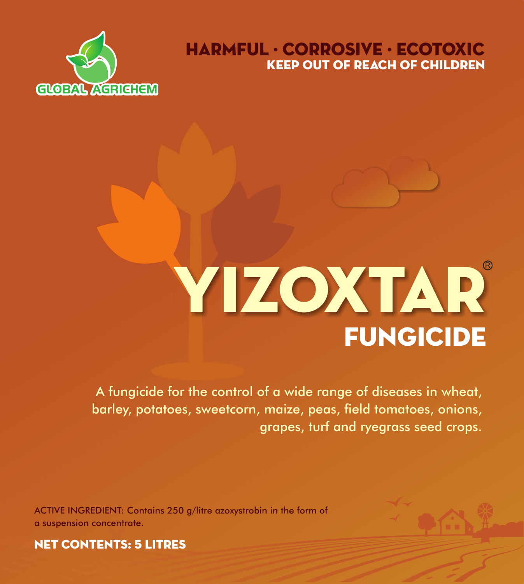

# KEEP OUT OF REACH OF CHILDREN HARMFUL · CORROSIVE · ECOTOXIC

# **FUNGICIDE** YIZOXTAR

A fungicide for the control of a wide range of diseases in wheat, barley, potatoes, sweetcorn, maize, peas, field tomatoes, onions, grapes, turf and ryegrass seed crops.

ACTIVE INGREDIENT: Contains 250 g/litre azoxystrobin in the form of a suspension concentrate.



NET CONTENTS: 5 LITRES